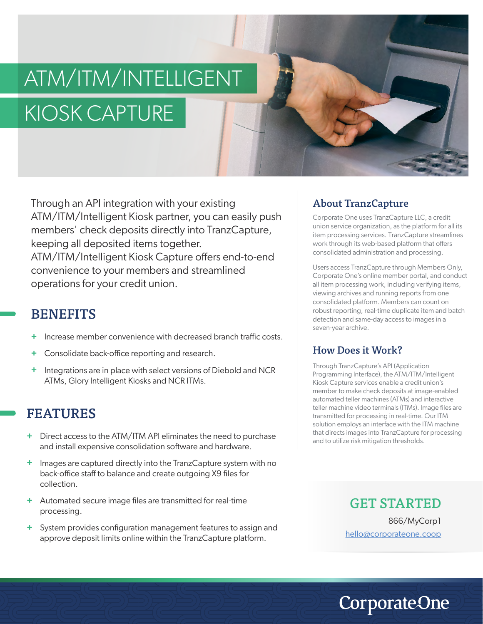# ATM/ITM/INTELLIGENT KIOSK CAPTURE

Through an API integration with your existing ATM/ITM/Intelligent Kiosk partner, you can easily push members' check deposits directly into TranzCapture, keeping all deposited items together. ATM/ITM/Intelligent Kiosk Capture offers end-to-end convenience to your members and streamlined operations for your credit union.

## **BENEFITS**

- Increase member convenience with decreased branch traffic costs. **+**
- Consolidate back-office reporting and research. **+**
- Integrations are in place with select versions of Diebold and NCR ATMs, Glory Intelligent Kiosks and NCR ITMs. **+**

# FEATURES

- Direct access to the ATM/ITM API eliminates the need to purchase **+** and install expensive consolidation software and hardware.
- Images are captured directly into the TranzCapture system with no back-office staff to balance and create outgoing X9 files for collection. **+**
- Automated secure image files are transmitted for real-time **+** processing.
- System provides configuration management features to assign and **+** approve deposit limits online within the TranzCapture platform.

## About TranzCapture

Corporate One uses TranzCapture LLC, a credit union service organization, as the platform for all its item processing services. TranzCapture streamlines work through its web-based platform that offers consolidated administration and processing.

Users access TranzCapture through Members Only, Corporate One's online member portal, and conduct all item processing work, including verifying items, viewing archives and running reports from one consolidated platform. Members can count on robust reporting, real-time duplicate item and batch detection and same-day access to images in a seven-year archive.

### How Does it Work?

Through TranzCapture's API (Application Programming Interface), the ATM/ITM/Intelligent Kiosk Capture services enable a credit union's member to make check deposits at image-enabled automated teller machines (ATMs) and interactive teller machine video terminals (ITMs). Image files are transmitted for processing in real-time. Our ITM solution employs an interface with the ITM machine that directs images into TranzCapture for processing and to utilize risk mitigation thresholds.

## GET STARTED

866/MyCorp1 hello@corporateone.coop

**CorporateOne**